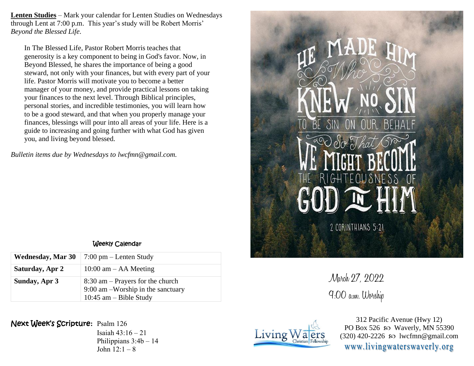**Lenten Studies** – Mark your calendar for Lenten Studies on Wednesdays through Lent at 7:00 p.m. This year's study will be Robert Morris' *Beyond the Blessed Life.*

In The Blessed Life, Pastor Robert Morris teaches that generosity is a key component to being in God's favor. Now, in Beyond Blessed, he shares the importance of being a good steward, not only with your finances, but with every part of your life. Pastor Morris will motivate you to become a better manager of your money, and provide practical lessons on taking your finances to the next level. Through Biblical principles, personal stories, and incredible testimonies, you will learn how to be a good steward, and that when you properly manage your finances, blessings will pour into all areas of your life. Here is a guide to increasing and going further with what God has given you, and living beyond blessed.

*Bulletin items due by Wednesdays to lwcfmn@gmail.com.*



March 27, 2022 9:00 a.m. Worship



312 Pacific Avenue (Hwy 12) PO Box 526  $\wp$  Waverly, MN 55390  $(320)$  420-2226 so lwcfmn@gmail.com www.livingwaterswaverly.org

## Weekly Calendar

| <b>Wednesday, Mar 30</b> | $7:00 \text{ pm} - \text{Lenten Study}$                                                               |  |  |
|--------------------------|-------------------------------------------------------------------------------------------------------|--|--|
| Saturday, Apr 2          | $10:00$ am $-$ AA Meeting                                                                             |  |  |
| Sunday, Apr 3            | $8:30$ am – Prayers for the church<br>$9:00$ am -Worship in the sanctuary<br>10:45 $am - Bible$ Study |  |  |

## Next Week's Scripture**:** Psalm 126

Isaiah 43:16 – 21 Philippians 3:4b – 14 John  $12:1 - 8$